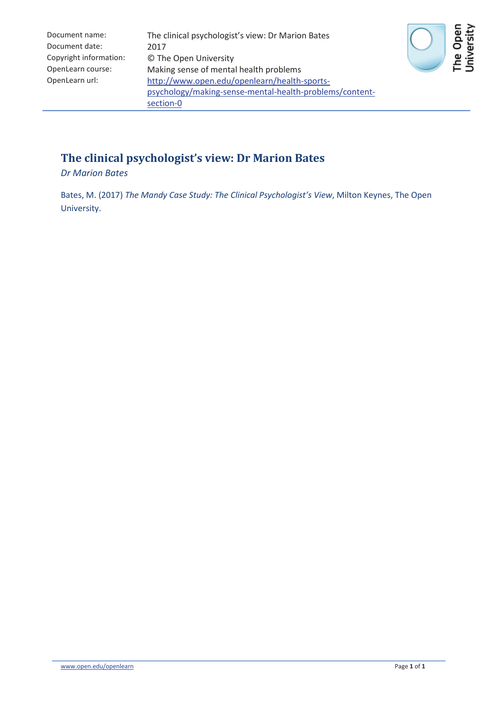| Document name:         | The clinical psychologist's view: Dr Marion Bates       |
|------------------------|---------------------------------------------------------|
| Document date:         | 2017                                                    |
| Copyright information: | © The Open University                                   |
| OpenLearn course:      | Making sense of mental health problems                  |
| OpenLearn url:         | http://www.open.edu/openlearn/health-sports-            |
|                        | psychology/making-sense-mental-health-problems/content- |
|                        | section-0                                               |



#### **The clinical psychologist's view: Dr Marion Bates**

*Dr Marion Bates*

Bates, M. (2017) *The Mandy Case Study: The Clinical Psychologist's View*, Milton Keynes, The Open University.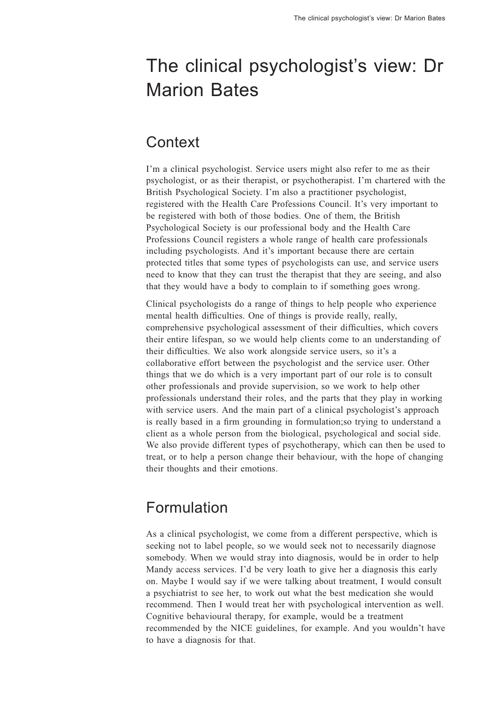# The clinical psychologist's view: Dr Marion Bates

### **Context**

I'm a clinical psychologist. Service users might also refer to me as their psychologist, or as their therapist, or psychotherapist. I'm chartered with the British Psychological Society. I'm also a practitioner psychologist, registered with the Health Care Professions Council. It's very important to be registered with both of those bodies. One of them, the British Psychological Society is our professional body and the Health Care Professions Council registers a whole range of health care professionals including psychologists. And it's important because there are certain protected titles that some types of psychologists can use, and service users need to know that they can trust the therapist that they are seeing, and also that they would have a body to complain to if something goes wrong.

Clinical psychologists doarange of things to help people who experience mental health difficulties. One of things is provide really, really, comprehensive psychological assessment of their difficulties, which covers their entire lifespan, so we would help clients come to an understanding of their difficulties. We also work alongside service users, so it's a collaborative effort between the psychologist and the service user. Other things that we do which is a very important part of our role is to consult other professionals and provide supervision, so we work to help other professionals understand their roles, and the parts that they play in working with service users. And the main part of a clinical psychologist's approach is really based in a firm grounding in formulation;so trying to understand a client as a whole person from the biological, psychological and social side. We also provide different types of psychotherapy, which can then be used to treat, or to help a person change their behaviour, with the hope of changing their thoughts and their emotions.

## Formulation

As a clinical psychologist, we come from a different perspective, which is seeking not to label people, so we would seek not to necessarily diagnose somebody. When we would stray into diagnosis, would be in order to help Mandy access services. I'd be very loath to give her a diagnosis this early on. Maybe I would say if we were talking about treatment, I would consult a psychiatrist to see her, to work out what the best medication she would recommend. Then I would treat her with psychological intervention as well. Cognitive behavioural therapy, for example, would be a treatment recommended by the NICE guidelines, for example. And you wouldn't have to have a diagnosis for that.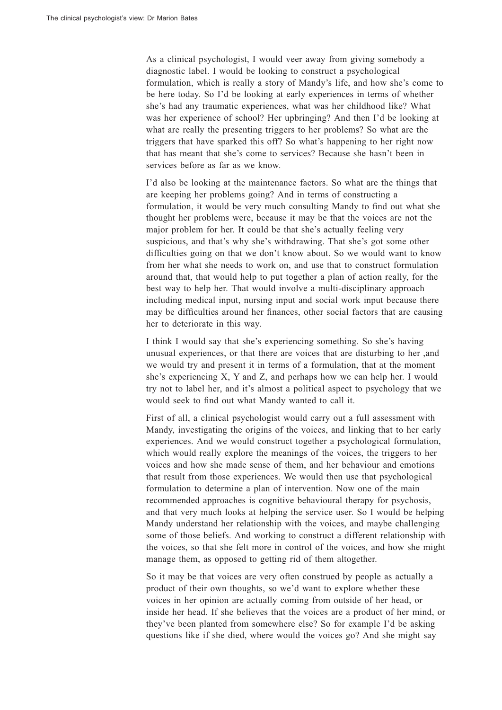As a clinical psychologist, I would veer away from giving somebody a diagnostic label. I would be looking to construct a psychological formulation, which is really a story of Mandy's life, and how she's come to be here today. So I'd be looking at early experiences in terms of whether she's had any traumatic experiences, what was her childhood like? What was her experience of school? Her upbringing? And then I'd be looking at what are really the presenting triggers to her problems? So what are the triggers that have sparked this off? So what's happening to her right now that has meant that she's come to services? Because she hasn't been in services before as far as we know.

I'd also be looking at the maintenance factors. So what are the things that are keeping her problems going? And in terms of constructing a formulation, it would be very much consulting Mandy to find out what she thought her problems were, because it may be that the voices are not the major problem for her. It could be that she's actually feeling very suspicious, and that's why she's withdrawing. That she's got some other difficulties going on that we don't know about. So we would want to know from her what she needs to work on, and use that to construct formulation around that, that would help to put together a plan of action really, for the best way to help her. That would involve a multi-disciplinary approach including medical input, nursing input and social work input because there may be difficulties around her finances, other social factors that are causing her to deteriorate in this way.

I think I would say that she's experiencing something. So she's having unusual experiences, or that there are voices that are disturbing to her ,and we would try and present it in terms of a formulation, that at the moment she's experiencing X, Y and Z, and perhaps how we can help her. I would try not to label her, and it's almostapolitical aspect to psychology that we would seek to find out what Mandy wanted to call it.

First of all, a clinical psychologist would carry out a full assessment with Mandy, investigating the origins of the voices, and linking that to her early experiences. And we would construct together a psychological formulation, which would really explore the meanings of the voices, the triggers to her voices and how she made sense of them, and her behaviour and emotions that result from those experiences. We would then use that psychological formulation to determine a plan of intervention. Now one of the main recommended approaches is cognitive behavioural therapy for psychosis, and that very much looks at helping the service user. So I would be helping Mandy understand her relationship with the voices, and maybe challenging some of those beliefs. And working to construct a different relationship with the voices, so that she felt more in control of the voices, and how she might manage them, as opposed to getting rid of them altogether.

So it may be that voices are very often construed by people as actually a product of their own thoughts, so we'd want to explore whether these voices in her opinion are actually coming from outside of her head, or inside her head. If she believes that the voices are a product of her mind, or they've been planted from somewhere else? So for example I'd be asking questions like if she died, where would the voices go? And she might say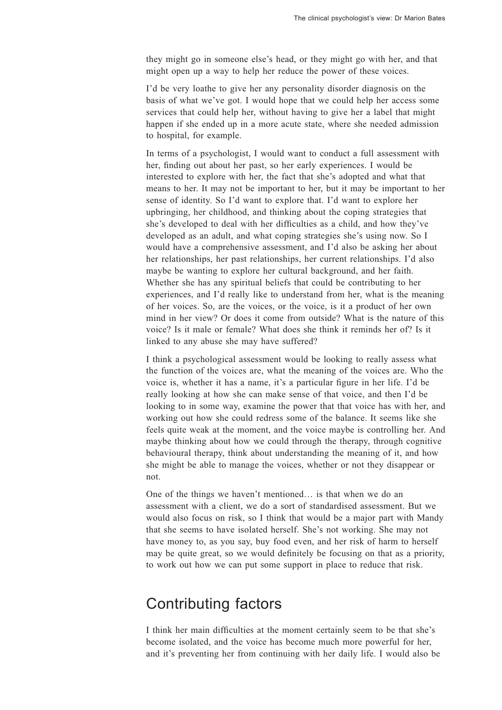they might go in someone else's head, or they might go with her, and that might open up a way to help her reduce the power of these voices.

I'd be very loathe to give her any personality disorder diagnosis on the basis of what we've got. I would hope that we could help her access some services that could help her, without having to give her a label that might happen if she ended up in a more acute state, where she needed admission to hospital, for example.

In terms of a psychologist, I would want to conduct a full assessment with her, finding out about her past, so her early experiences. I would be interested to explore with her, the fact that she's adopted and what that means to her. It may not be important to her, but it may be important to her sense of identity. So I'd want to explore that. I'd want to explore her upbringing, her childhood, and thinking about the coping strategies that she's developed to deal with her difficulties as a child, and how they've developed as an adult, and what coping strategies she's using now. So I would have a comprehensive assessment, and I'd also be asking her about her relationships, her past relationships, her current relationships. I'd also maybe be wanting to explore her cultural background, and her faith. Whether she has any spiritual beliefs that could be contributing to her experiences, and I'd really like to understand from her, what is the meaning of her voices. So, are the voices, or the voice, is it a product of her own mind in her view? Or does it come from outside? What is the nature of this voice? Is it male or female? What does she think it reminds her of? Is it linked to any abuse she may have suffered?

I think a psychological assessment would be looking to really assess what the function of the voices are, what the meaning of the voices are. Who the voice is, whether it has a name, it's a particular figure in her life. I'd be really looking at how she can make sense of that voice, and then I'd be looking to in some way, examine the power that that voice has with her, and working out how she could redress some of the balance. It seems like she feels quite weak at the moment, and the voice maybe is controlling her. And maybe thinking about how we could through the therapy, through cognitive behavioural therapy, think about understanding the meaning of it, and how she might be able to manage the voices, whether or not they disappear or not.

One of the things we haven't mentioned… is that when we do an assessment with a client, we do a sort of standardised assessment. But we would also focus on risk, so I think that would be a major part with Mandy that she seems to have isolated herself. She's not working. She may not have money to, as you say, buy food even, and her risk of harm to herself may be quite great, so we would definitely be focusing on that as a priority, to work out how we can put some support in place to reduce that risk.

#### Contributing factors

I think her main difficulties at the moment certainly seem to be that she's become isolated, and the voice has become much more powerful for her, and it's preventing her from continuing with her daily life. I would also be